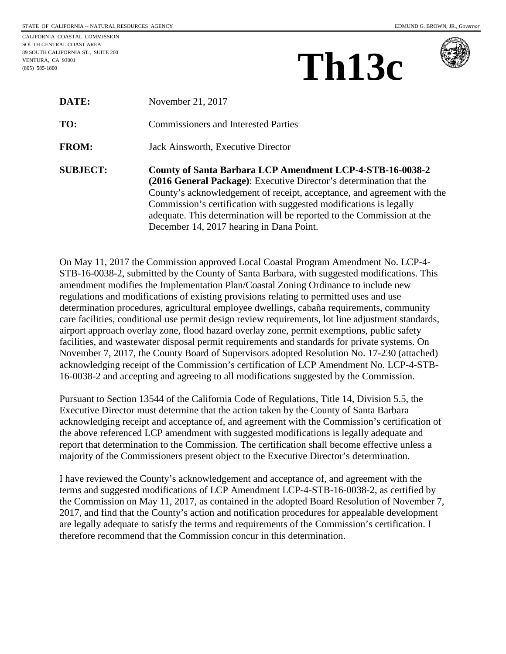CALIFORNIA COASTAL COMMISSION SOUTH CENTRAL COAST AREA 89 SOUTH CALIFORNIA ST., SUITE 200

VENTURA, CA 93001 (805) 585-1800

 **Th13c**



| DATE:           | November 21, 2017                                                                                                                                                                                                                                                                                                                                                                                       |
|-----------------|---------------------------------------------------------------------------------------------------------------------------------------------------------------------------------------------------------------------------------------------------------------------------------------------------------------------------------------------------------------------------------------------------------|
| TO:             | <b>Commissioners and Interested Parties</b>                                                                                                                                                                                                                                                                                                                                                             |
| <b>FROM:</b>    | Jack Ainsworth, Executive Director                                                                                                                                                                                                                                                                                                                                                                      |
| <b>SUBJECT:</b> | County of Santa Barbara LCP Amendment LCP-4-STB-16-0038-2<br>(2016 General Package): Executive Director's determination that the<br>County's acknowledgement of receipt, acceptance, and agreement with the<br>Commission's certification with suggested modifications is legally<br>adequate. This determination will be reported to the Commission at the<br>December 14, 2017 hearing in Dana Point. |

On May 11, 2017 the Commission approved Local Coastal Program Amendment No. LCP-4- STB-16-0038-2, submitted by the County of Santa Barbara, with suggested modifications. This amendment modifies the Implementation Plan/Coastal Zoning Ordinance to include new regulations and modifications of existing provisions relating to permitted uses and use determination procedures, agricultural employee dwellings, cabaña requirements, community care facilities, conditional use permit design review requirements, lot line adjustment standards, airport approach overlay zone, flood hazard overlay zone, permit exemptions, public safety facilities, and wastewater disposal permit requirements and standards for private systems. On November 7, 2017, the County Board of Supervisors adopted Resolution No. 17-230 (attached) acknowledging receipt of the Commission's certification of LCP Amendment No. LCP-4-STB-16-0038-2 and accepting and agreeing to all modifications suggested by the Commission.

Pursuant to Section 13544 of the California Code of Regulations, Title 14, Division 5.5, the Executive Director must determine that the action taken by the County of Santa Barbara acknowledging receipt and acceptance of, and agreement with the Commission's certification of the above referenced LCP amendment with suggested modifications is legally adequate and report that determination to the Commission. The certification shall become effective unless a majority of the Commissioners present object to the Executive Director's determination.

I have reviewed the County's acknowledgement and acceptance of, and agreement with the terms and suggested modifications of LCP Amendment LCP-4-STB-16-0038-2, as certified by the Commission on May 11, 2017, as contained in the adopted Board Resolution of November 7, 2017, and find that the County's action and notification procedures for appealable development are legally adequate to satisfy the terms and requirements of the Commission's certification. I therefore recommend that the Commission concur in this determination.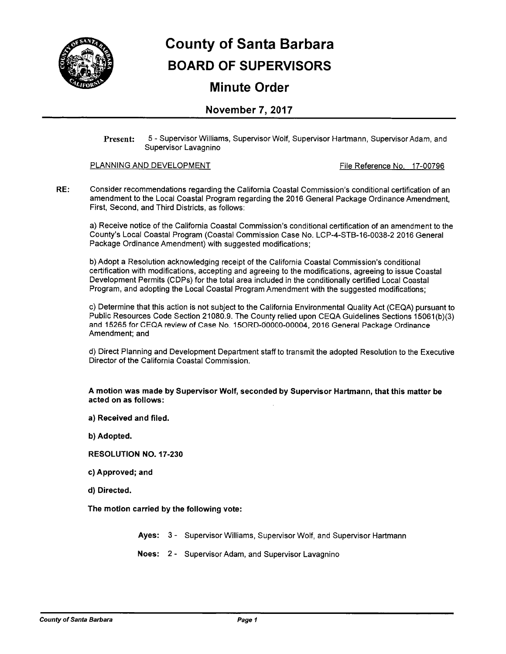

# **County of Santa Barbara BOARD OF SUPERVISORS**

### **Minute Order**

### November 7, 2017

5 - Supervisor Williams, Supervisor Wolf, Supervisor Hartmann, Supervisor Adam, and **Present:** Supervisor Lavagnino

#### PLANNING AND DEVELOPMENT

File Reference No. 17-00796

RE: Consider recommendations regarding the California Coastal Commission's conditional certification of an amendment to the Local Coastal Program regarding the 2016 General Package Ordinance Amendment, First, Second, and Third Districts, as follows:

a) Receive notice of the California Coastal Commission's conditional certification of an amendment to the County's Local Coastal Program (Coastal Commission Case No. LCP-4-STB-16-0038-2 2016 General Package Ordinance Amendment) with suggested modifications;

b) Adopt a Resolution acknowledging receipt of the California Coastal Commission's conditional certification with modifications, accepting and agreeing to the modifications, agreeing to issue Coastal Development Permits (CDPs) for the total area included in the conditionally certified Local Coastal Program, and adopting the Local Coastal Program Amendment with the suggested modifications;

c) Determine that this action is not subject to the California Environmental Quality Act (CEQA) pursuant to Public Resources Code Section 21080.9. The County relied upon CEQA Guidelines Sections 15061(b)(3) and 15265 for CEQA review of Case No. 15ORD-00000-00004, 2016 General Package Ordinance Amendment: and

d) Direct Planning and Development Department staff to transmit the adopted Resolution to the Executive Director of the California Coastal Commission

A motion was made by Supervisor Wolf, seconded by Supervisor Hartmann, that this matter be acted on as follows:

- a) Received and filed.
- b) Adopted.
- **RESOLUTION NO. 17-230**
- c) Approved; and
- d) Directed.

The motion carried by the following vote:

Ayes: 3 - Supervisor Williams, Supervisor Wolf, and Supervisor Hartmann

Noes: 2 - Supervisor Adam, and Supervisor Lavagnino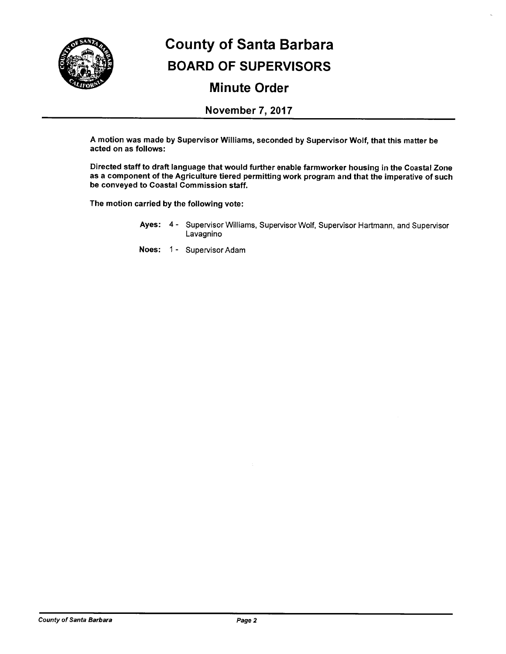

## **County of Santa Barbara BOARD OF SUPERVISORS Minute Order**

### **November 7, 2017**

A motion was made by Supervisor Williams, seconded by Supervisor Wolf, that this matter be acted on as follows:

Directed staff to draft language that would further enable farmworker housing in the Coastal Zone as a component of the Agriculture tiered permitting work program and that the imperative of such be conveyed to Coastal Commission staff.

The motion carried by the following vote:

Ayes: 4 - Supervisor Williams, Supervisor Wolf, Supervisor Hartmann, and Supervisor Lavagnino

Noes: 1 - Supervisor Adam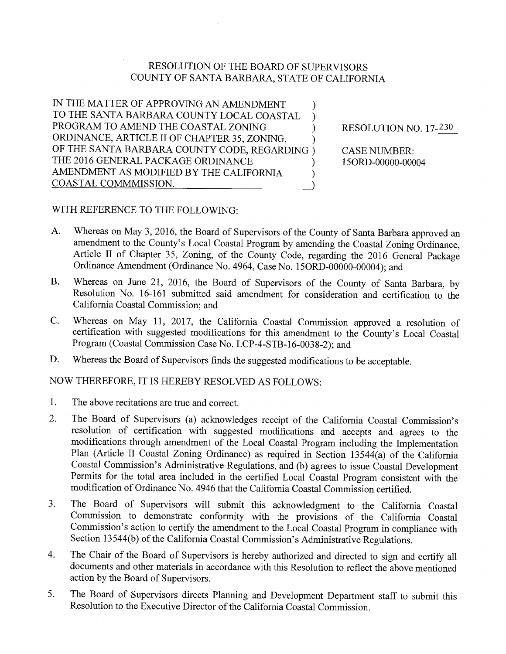### **RESOLUTION OF THE BOARD OF SUPERVISORS** COUNTY OF SANTA BARBARA, STATE OF CALIFORNIA

IN THE MATTER OF APPROVING AN AMENDMENT  $\mathcal{E}$ TO THE SANTA BARBARA COUNTY LOCAL COASTAL  $\mathcal{E}$ PROGRAM TO AMEND THE COASTAL ZONING  $\mathcal{E}$ ORDINANCE, ARTICLE II OF CHAPTER 35, ZONING, OF THE SANTA BARBARA COUNTY CODE, REGARDING) THE 2016 GENERAL PACKAGE ORDINANCE AMENDMENT AS MODIFIED BY THE CALIFORNIA  $\lambda$ COASTAL COMMMISSION.

RESOLUTION NO. 17-230

**CASE NUMBER:** 15ORD-00000-00004

### WITH REFERENCE TO THE FOLLOWING:

- A. Whereas on May 3, 2016, the Board of Supervisors of the County of Santa Barbara approved an amendment to the County's Local Coastal Program by amending the Coastal Zoning Ordinance. Article II of Chapter 35, Zoning, of the County Code, regarding the 2016 General Package Ordinance Amendment (Ordinance No. 4964, Case No. 15ORD-00000-00004); and
- Whereas on June 21, 2016, the Board of Supervisors of the County of Santa Barbara, by **B.** Resolution No. 16-161 submitted said amendment for consideration and certification to the California Coastal Commission; and
- Whereas on May 11, 2017, the California Coastal Commission approved a resolution of  $\mathbf{C}$ . certification with suggested modifications for this amendment to the County's Local Coastal Program (Coastal Commission Case No. LCP-4-STB-16-0038-2); and
- D. Whereas the Board of Supervisors finds the suggested modifications to be acceptable.

NOW THEREFORE, IT IS HEREBY RESOLVED AS FOLLOWS:

- 1. The above recitations are true and correct.
- $\overline{2}$ . The Board of Supervisors (a) acknowledges receipt of the California Coastal Commission's resolution of certification with suggested modifications and accepts and agrees to the modifications through amendment of the Local Coastal Program including the Implementation Plan (Article II Coastal Zoning Ordinance) as required in Section 13544(a) of the California Coastal Commission's Administrative Regulations, and (b) agrees to issue Coastal Development Permits for the total area included in the certified Local Coastal Program consistent with the modification of Ordinance No. 4946 that the California Coastal Commission certified.
- The Board of Supervisors will submit this acknowledgment to the California Coastal  $3.$ Commission to demonstrate conformity with the provisions of the California Coastal Commission's action to certify the amendment to the Local Coastal Program in compliance with Section 13544(b) of the California Coastal Commission's Administrative Regulations.
- The Chair of the Board of Supervisors is hereby authorized and directed to sign and certify all 4. documents and other materials in accordance with this Resolution to reflect the above mentioned action by the Board of Supervisors.
- The Board of Supervisors directs Planning and Development Department staff to submit this 5. Resolution to the Executive Director of the California Coastal Commission.